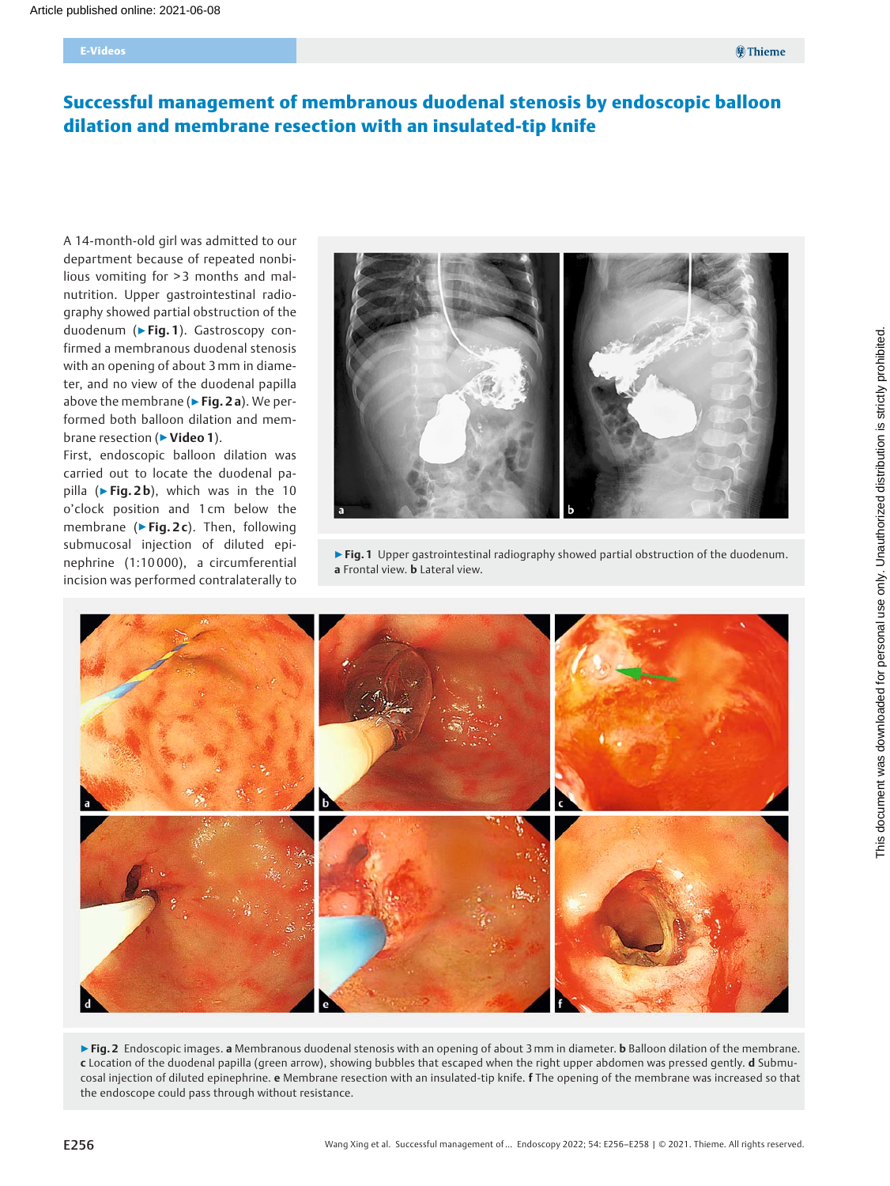# Successful management of membranous duodenal stenosis by endoscopic balloon dilation and membrane resection with an insulated-tip knife

A 14-month-old girl was admitted to our department because of repeated nonbilious vomiting for > 3 months and malnutrition. Upper gastrointestinal radiography showed partial obstruction of the duodenum (▶Fig. 1). Gastroscopy confirmed a membranous duodenal stenosis with an opening of about 3mm in diameter, and no view of the duodenal papilla above the membrane ( $\triangleright$  Fig. 2 a). We performed both balloon dilation and membrane resection (► Video 1).

First, endoscopic balloon dilation was carried out to locate the duodenal papilla ( $\blacktriangleright$  Fig. 2b), which was in the 10 o'clock position and 1 cm below the membrane ( $\blacktriangleright$  Fig. 2c). Then, following submucosal injection of diluted epinephrine (1:10 000), a circumferential incision was performed contralaterally to



▶ Fig. 1 Upper gastrointestinal radiography showed partial obstruction of the duodenum. a Frontal view. b Lateral view.



▶ Fig. 2 Endoscopic images. a Membranous duodenal stenosis with an opening of about 3 mm in diameter. b Balloon dilation of the membrane. c Location of the duodenal papilla (green arrow), showing bubbles that escaped when the right upper abdomen was pressed gently. d Submucosal injection of diluted epinephrine. e Membrane resection with an insulated-tip knife. f The opening of the membrane was increased so that the endoscope could pass through without resistance.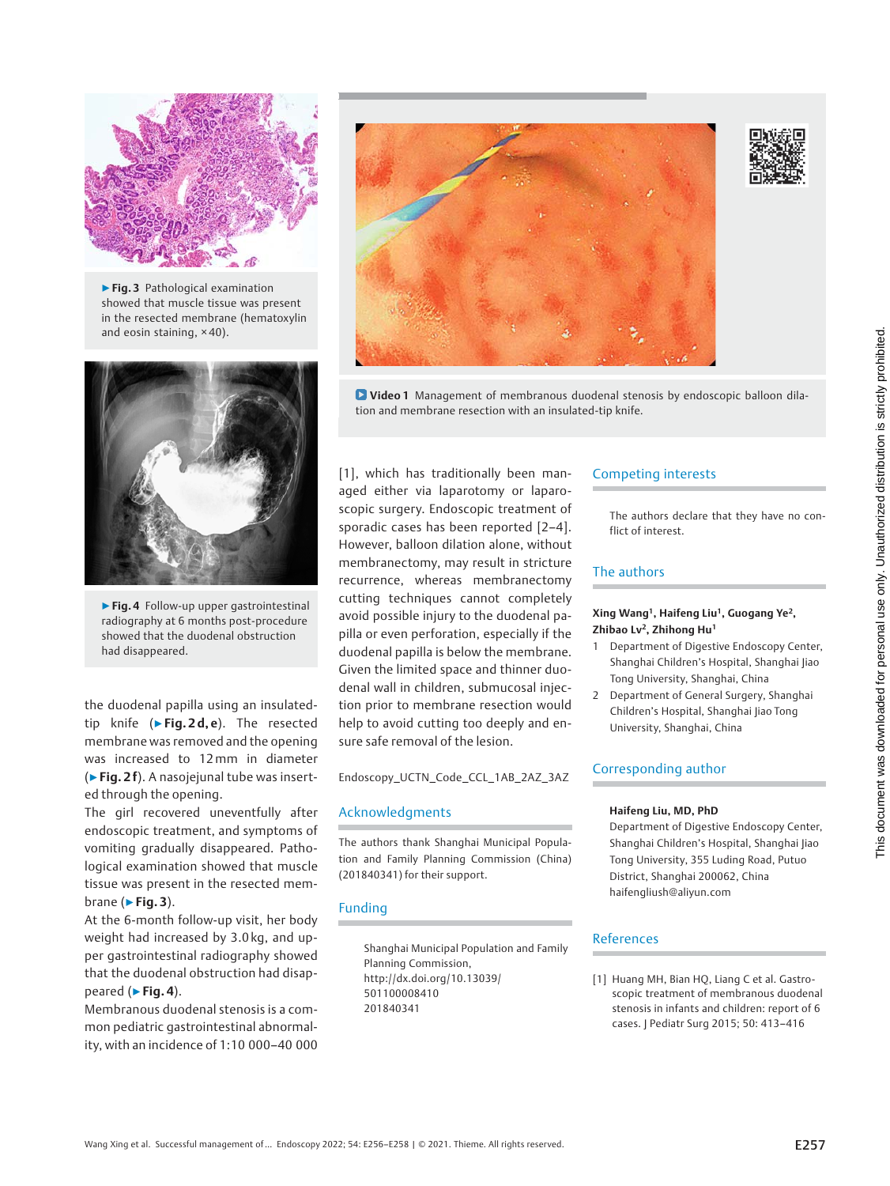

▶ Fig. 3 Pathological examination showed that muscle tissue was present in the resected membrane (hematoxylin and eosin staining, × 40).



▶Fig. 4 Follow-up upper gastrointestinal radiography at 6 months post-procedure showed that the duodenal obstruction had disappeared.

the duodenal papilla using an insulatedtip knife ( $\blacktriangleright$  Fig. 2d, e). The resected membrane was removed and the opening was increased to 12mm in diameter (▶Fig. 2 f). A nasojejunal tube was inserted through the opening.

The girl recovered uneventfully after endoscopic treatment, and symptoms of vomiting gradually disappeared. Pathological examination showed that muscle tissue was present in the resected membrane ( $\blacktriangleright$  Fig. 3).

At the 6-month follow-up visit, her body weight had increased by 3.0 kg, and upper gastrointestinal radiography showed that the duodenal obstruction had disappeared (▶Fig. 4).

Membranous duodenal stenosis is a common pediatric gastrointestinal abnormality, with an incidence of 1:10 000–40 000



Video 1 Management of membranous duodenal stenosis by endoscopic balloon dilation and membrane resection with an insulated-tip knife.

[1], which has traditionally been managed either via laparotomy or laparoscopic surgery. Endoscopic treatment of sporadic cases has been reported [2–4]. However, balloon dilation alone, without membranectomy, may result in stricture recurrence, whereas membranectomy cutting techniques cannot completely avoid possible injury to the duodenal papilla or even perforation, especially if the duodenal papilla is below the membrane. Given the limited space and thinner duodenal wall in children, submucosal injection prior to membrane resection would help to avoid cutting too deeply and ensure safe removal of the lesion.

Endoscopy\_UCTN\_Code\_CCL\_1AB\_2AZ\_3AZ

#### Acknowledgments

The authors thank Shanghai Municipal Population and Family Planning Commission (China) (201840341) for their support.

#### Funding

Shanghai Municipal Population and Family Planning Commission, http://dx.doi.org/10.13039/ 501100008410 201840341

## Competing interests

The authors declare that they have no conflict of interest.

# The authors

### Xing Wang<sup>1</sup>, Haifeng Liu<sup>1</sup>, Guogang Ye<sup>2</sup>, Zhibao Lv<sup>2</sup>, Zhihong Hu<sup>1</sup>

- 1 Department of Digestive Endoscopy Center, Shanghai Children's Hospital, Shanghai Jiao Tong University, Shanghai, China
- 2 Department of General Surgery, Shanghai Children's Hospital, Shanghai Jiao Tong University, Shanghai, China

#### Corresponding author

#### Haifeng Liu, MD, PhD

Department of Digestive Endoscopy Center, Shanghai Children's Hospital, Shanghai Jiao Tong University, 355 Luding Road, Putuo District, Shanghai 200062, China haifengliush@aliyun.com

#### References

[1] Huang MH, Bian HQ, Liang C et al. Gastroscopic treatment of membranous duodenal stenosis in infants and children: report of 6 cases. J Pediatr Surg 2015; 50: 413–416